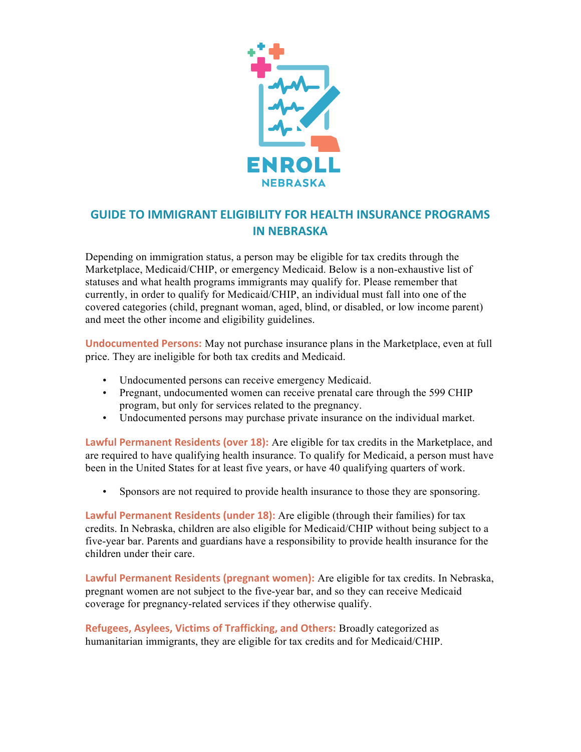

## **GUIDE TO IMMIGRANT ELIGIBILITY FOR HEALTH INSURANCE PROGRAMS IN NEBRASKA**

Depending on immigration status, a person may be eligible for tax credits through the Marketplace, Medicaid/CHIP, or emergency Medicaid. Below is a non-exhaustive list of statuses and what health programs immigrants may qualify for. Please remember that currently, in order to qualify for Medicaid/CHIP, an individual must fall into one of the covered categories (child, pregnant woman, aged, blind, or disabled, or low income parent) and meet the other income and eligibility guidelines.

**Undocumented Persons:** May not purchase insurance plans in the Marketplace, even at full price. They are ineligible for both tax credits and Medicaid.

- Undocumented persons can receive emergency Medicaid.
- Pregnant, undocumented women can receive prenatal care through the 599 CHIP program, but only for services related to the pregnancy.
- Undocumented persons may purchase private insurance on the individual market.

**Lawful Permanent Residents (over 18):** Are eligible for tax credits in the Marketplace, and are required to have qualifying health insurance. To qualify for Medicaid, a person must have been in the United States for at least five years, or have 40 qualifying quarters of work.

• Sponsors are not required to provide health insurance to those they are sponsoring.

**Lawful Permanent Residents (under 18):** Are eligible (through their families) for tax credits. In Nebraska, children are also eligible for Medicaid/CHIP without being subject to a five-year bar. Parents and guardians have a responsibility to provide health insurance for the children under their care.

**Lawful Permanent Residents (pregnant women):** Are eligible for tax credits. In Nebraska, pregnant women are not subject to the five-year bar, and so they can receive Medicaid coverage for pregnancy-related services if they otherwise qualify.

**Refugees, Asylees, Victims of Trafficking, and Others:** Broadly categorized as humanitarian immigrants, they are eligible for tax credits and for Medicaid/CHIP.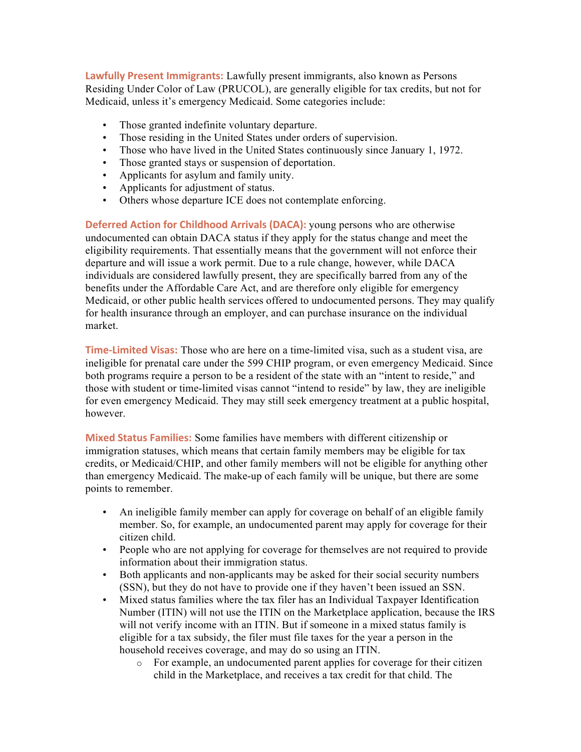**Lawfully Present Immigrants:** Lawfully present immigrants, also known as Persons Residing Under Color of Law (PRUCOL), are generally eligible for tax credits, but not for Medicaid, unless it's emergency Medicaid. Some categories include:

- Those granted indefinite voluntary departure.
- Those residing in the United States under orders of supervision.
- Those who have lived in the United States continuously since January 1, 1972.
- Those granted stays or suspension of deportation.
- Applicants for asylum and family unity.
- Applicants for adjustment of status.
- Others whose departure ICE does not contemplate enforcing.

**Deferred Action for Childhood Arrivals (DACA):** young persons who are otherwise undocumented can obtain DACA status if they apply for the status change and meet the eligibility requirements. That essentially means that the government will not enforce their departure and will issue a work permit. Due to a rule change, however, while DACA individuals are considered lawfully present, they are specifically barred from any of the benefits under the Affordable Care Act, and are therefore only eligible for emergency Medicaid, or other public health services offered to undocumented persons. They may qualify for health insurance through an employer, and can purchase insurance on the individual market.

**Time-Limited Visas:** Those who are here on a time-limited visa, such as a student visa, are ineligible for prenatal care under the 599 CHIP program, or even emergency Medicaid. Since both programs require a person to be a resident of the state with an "intent to reside," and those with student or time-limited visas cannot "intend to reside" by law, they are ineligible for even emergency Medicaid. They may still seek emergency treatment at a public hospital, however.

**Mixed Status Families:** Some families have members with different citizenship or immigration statuses, which means that certain family members may be eligible for tax credits, or Medicaid/CHIP, and other family members will not be eligible for anything other than emergency Medicaid. The make-up of each family will be unique, but there are some points to remember.

- An ineligible family member can apply for coverage on behalf of an eligible family member. So, for example, an undocumented parent may apply for coverage for their citizen child.
- People who are not applying for coverage for themselves are not required to provide information about their immigration status.
- Both applicants and non-applicants may be asked for their social security numbers (SSN), but they do not have to provide one if they haven't been issued an SSN.
- Mixed status families where the tax filer has an Individual Taxpayer Identification Number (ITIN) will not use the ITIN on the Marketplace application, because the IRS will not verify income with an ITIN. But if someone in a mixed status family is eligible for a tax subsidy, the filer must file taxes for the year a person in the household receives coverage, and may do so using an ITIN.
	- o For example, an undocumented parent applies for coverage for their citizen child in the Marketplace, and receives a tax credit for that child. The